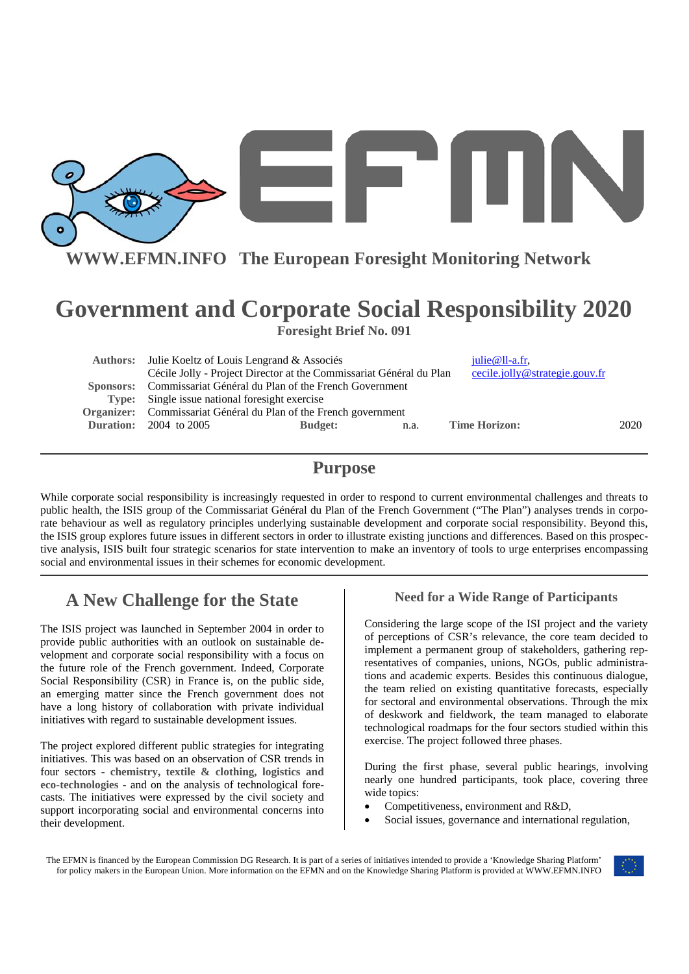

**WWW.EFMN.INFO The European Foresight Monitoring Network**

# **Government and Corporate Social Responsibility 2020 Foresight Brief No. 091**

| Authors: Julie Koeltz of Louis Lengrand & Associés                  |                |      | $i$ ulie@ll-a.fr,              |      |
|---------------------------------------------------------------------|----------------|------|--------------------------------|------|
| Cécile Jolly - Project Director at the Commissariat Général du Plan |                |      | cecile.jolly@strategie.gouv.fr |      |
| Sponsors: Commissariat Général du Plan of the French Government     |                |      |                                |      |
| <b>Type:</b> Single issue national foresight exercise               |                |      |                                |      |
| Organizer: Commissariat Général du Plan of the French government    |                |      |                                |      |
| <b>Duration:</b> 2004 to 2005                                       | <b>Budget:</b> | n.a. | <b>Time Horizon:</b>           | 2020 |
|                                                                     |                |      |                                |      |

## **Purpose**

While corporate social responsibility is increasingly requested in order to respond to current environmental challenges and threats to public health, the ISIS group of the Commissariat Général du Plan of the French Government ("The Plan") analyses trends in corporate behaviour as well as regulatory principles underlying sustainable development and corporate social responsibility. Beyond this, the ISIS group explores future issues in different sectors in order to illustrate existing junctions and differences. Based on this prospective analysis, ISIS built four strategic scenarios for state intervention to make an inventory of tools to urge enterprises encompassing social and environmental issues in their schemes for economic development.

# **A New Challenge for the State**

The ISIS project was launched in September 2004 in order to provide public authorities with an outlook on sustainable development and corporate social responsibility with a focus on the future role of the French government. Indeed, Corporate Social Responsibility (CSR) in France is, on the public side, an emerging matter since the French government does not have a long history of collaboration with private individual initiatives with regard to sustainable development issues.

The project explored different public strategies for integrating initiatives. This was based on an observation of CSR trends in four sectors - **chemistry, textile & clothing, logistics and eco-technologies** - and on the analysis of technological forecasts. The initiatives were expressed by the civil society and support incorporating social and environmental concerns into their development.

## **Need for a Wide Range of Participants**

Considering the large scope of the ISI project and the variety of perceptions of CSR's relevance, the core team decided to implement a permanent group of stakeholders, gathering representatives of companies, unions, NGOs, public administrations and academic experts. Besides this continuous dialogue, the team relied on existing quantitative forecasts, especially for sectoral and environmental observations. Through the mix of deskwork and fieldwork, the team managed to elaborate technological roadmaps for the four sectors studied within this exercise. The project followed three phases.

During **the first phase**, several public hearings, involving nearly one hundred participants, took place, covering three wide topics:

- Competitiveness, environment and R&D,
- Social issues, governance and international regulation,

The EFMN is financed by the European Commission DG Research. It is part of a series of initiatives intended to provide a 'Knowledge Sharing Platform' for policy makers in the European Union. More information on the EFMN and on the Knowledge Sharing Platform is provided at WWW.EFMN.INFO

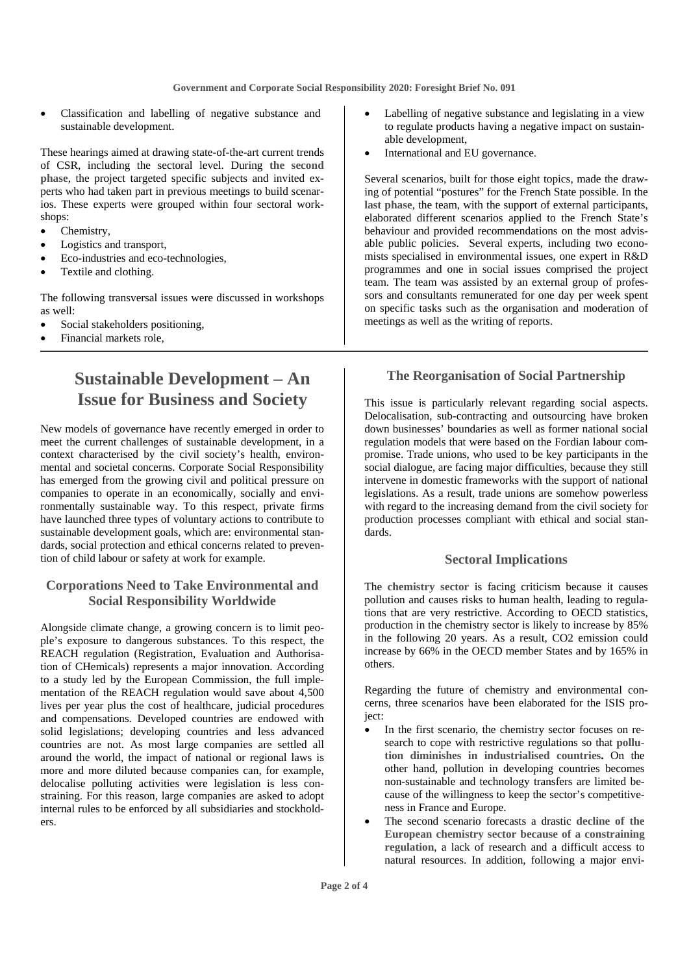• Classification and labelling of negative substance and sustainable development.

These hearings aimed at drawing state-of-the-art current trends of CSR, including the sectoral level. During **the second phase**, the project targeted specific subjects and invited experts who had taken part in previous meetings to build scenarios. These experts were grouped within four sectoral workshops:

- Chemistry.
- Logistics and transport,
- Eco-industries and eco-technologies,
- Textile and clothing.

The following transversal issues were discussed in workshops as well:

- Social stakeholders positioning,
- Financial markets role,

# **Sustainable Development – An Issue for Business and Society**

New models of governance have recently emerged in order to meet the current challenges of sustainable development, in a context characterised by the civil society's health, environmental and societal concerns. Corporate Social Responsibility has emerged from the growing civil and political pressure on companies to operate in an economically, socially and environmentally sustainable way. To this respect, private firms have launched three types of voluntary actions to contribute to sustainable development goals, which are: environmental standards, social protection and ethical concerns related to prevention of child labour or safety at work for example.

### **Corporations Need to Take Environmental and Social Responsibility Worldwide**

Alongside climate change, a growing concern is to limit people's exposure to dangerous substances. To this respect, the REACH regulation (Registration, Evaluation and Authorisation of CHemicals) represents a major innovation. According to a study led by the European Commission, the full implementation of the REACH regulation would save about 4,500 lives per year plus the cost of healthcare, judicial procedures and compensations. Developed countries are endowed with solid legislations; developing countries and less advanced countries are not. As most large companies are settled all around the world, the impact of national or regional laws is more and more diluted because companies can, for example, delocalise polluting activities were legislation is less constraining. For this reason, large companies are asked to adopt internal rules to be enforced by all subsidiaries and stockholders.

- Labelling of negative substance and legislating in a view to regulate products having a negative impact on sustainable development,
- International and EU governance.

Several scenarios, built for those eight topics, made the drawing of potential "postures" for the French State possible. In the **last phase**, the team, with the support of external participants, elaborated different scenarios applied to the French State's behaviour and provided recommendations on the most advisable public policies. Several experts, including two economists specialised in environmental issues, one expert in R&D programmes and one in social issues comprised the project team. The team was assisted by an external group of professors and consultants remunerated for one day per week spent on specific tasks such as the organisation and moderation of meetings as well as the writing of reports.

### **The Reorganisation of Social Partnership**

This issue is particularly relevant regarding social aspects. Delocalisation, sub-contracting and outsourcing have broken down businesses' boundaries as well as former national social regulation models that were based on the Fordian labour compromise. Trade unions, who used to be key participants in the social dialogue, are facing major difficulties, because they still intervene in domestic frameworks with the support of national legislations. As a result, trade unions are somehow powerless with regard to the increasing demand from the civil society for production processes compliant with ethical and social standards.

#### **Sectoral Implications**

The **chemistry sector** is facing criticism because it causes pollution and causes risks to human health, leading to regulations that are very restrictive. According to OECD statistics, production in the chemistry sector is likely to increase by 85% in the following 20 years. As a result, CO2 emission could increase by 66% in the OECD member States and by 165% in others.

Regarding the future of chemistry and environmental concerns, three scenarios have been elaborated for the ISIS proiect:

- In the first scenario, the chemistry sector focuses on research to cope with restrictive regulations so that **pollution diminishes in industrialised countries.** On the other hand, pollution in developing countries becomes non-sustainable and technology transfers are limited because of the willingness to keep the sector's competitiveness in France and Europe.
- The second scenario forecasts a drastic **decline of the European chemistry sector because of a constraining regulation**, a lack of research and a difficult access to natural resources. In addition, following a major envi-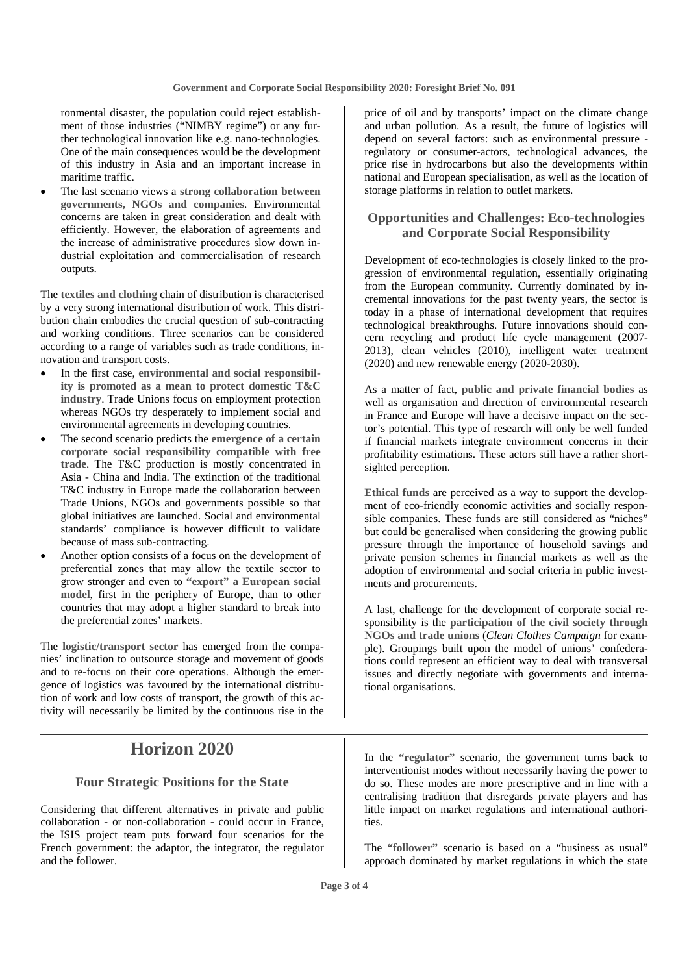ronmental disaster, the population could reject establishment of those industries ("NIMBY regime") or any further technological innovation like e.g. nano-technologies. One of the main consequences would be the development of this industry in Asia and an important increase in maritime traffic.

• The last scenario views a **strong collaboration between governments, NGOs and companies**. Environmental concerns are taken in great consideration and dealt with efficiently. However, the elaboration of agreements and the increase of administrative procedures slow down industrial exploitation and commercialisation of research outputs.

The **textiles and clothing** chain of distribution is characterised by a very strong international distribution of work. This distribution chain embodies the crucial question of sub-contracting and working conditions. Three scenarios can be considered according to a range of variables such as trade conditions, innovation and transport costs.

- In the first case, **environmental and social responsibility is promoted as a mean to protect domestic T&C industry**. Trade Unions focus on employment protection whereas NGOs try desperately to implement social and environmental agreements in developing countries.
- The second scenario predicts the **emergence of a certain corporate social responsibility compatible with free trade**. The T&C production is mostly concentrated in Asia - China and India. The extinction of the traditional T&C industry in Europe made the collaboration between Trade Unions, NGOs and governments possible so that global initiatives are launched. Social and environmental standards' compliance is however difficult to validate because of mass sub-contracting.
- Another option consists of a focus on the development of preferential zones that may allow the textile sector to grow stronger and even to **"export" a European social model**, first in the periphery of Europe, than to other countries that may adopt a higher standard to break into the preferential zones' markets.

The **logistic/transport sector** has emerged from the companies' inclination to outsource storage and movement of goods and to re-focus on their core operations. Although the emergence of logistics was favoured by the international distribution of work and low costs of transport, the growth of this activity will necessarily be limited by the continuous rise in the

# **Horizon 2020**

### **Four Strategic Positions for the State**

Considering that different alternatives in private and public collaboration - or non-collaboration - could occur in France, the ISIS project team puts forward four scenarios for the French government: the adaptor, the integrator, the regulator and the follower.

price of oil and by transports' impact on the climate change and urban pollution. As a result, the future of logistics will depend on several factors: such as environmental pressure regulatory or consumer-actors, technological advances, the price rise in hydrocarbons but also the developments within national and European specialisation, as well as the location of storage platforms in relation to outlet markets.

## **Opportunities and Challenges: Eco-technologies and Corporate Social Responsibility**

Development of eco-technologies is closely linked to the progression of environmental regulation, essentially originating from the European community. Currently dominated by incremental innovations for the past twenty years, the sector is today in a phase of international development that requires technological breakthroughs. Future innovations should concern recycling and product life cycle management (2007- 2013), clean vehicles (2010), intelligent water treatment (2020) and new renewable energy (2020-2030).

As a matter of fact, **public and private financial bodies** as well as organisation and direction of environmental research in France and Europe will have a decisive impact on the sector's potential. This type of research will only be well funded if financial markets integrate environment concerns in their profitability estimations. These actors still have a rather shortsighted perception.

**Ethical funds** are perceived as a way to support the development of eco-friendly economic activities and socially responsible companies. These funds are still considered as "niches" but could be generalised when considering the growing public pressure through the importance of household savings and private pension schemes in financial markets as well as the adoption of environmental and social criteria in public investments and procurements.

A last, challenge for the development of corporate social responsibility is the **participation of the civil society through NGOs and trade unions** (*Clean Clothes Campaign* for example). Groupings built upon the model of unions' confederations could represent an efficient way to deal with transversal issues and directly negotiate with governments and international organisations.

In the **"regulator"** scenario, the government turns back to interventionist modes without necessarily having the power to do so. These modes are more prescriptive and in line with a centralising tradition that disregards private players and has little impact on market regulations and international authorities.

The **"follower"** scenario is based on a "business as usual" approach dominated by market regulations in which the state